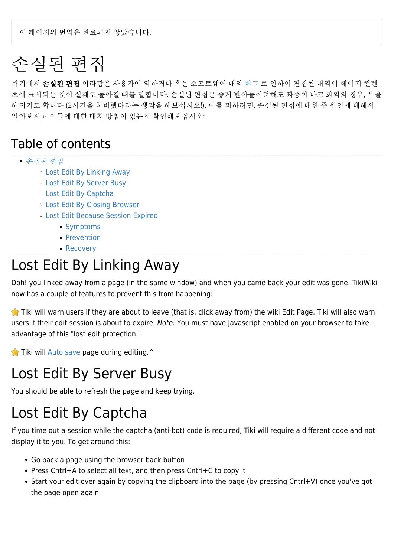이 페이지의 번역은 완료되지 않았습니다.

# 손실된 편집

위키에서 손실된 편집 이라함은 사용자에 의하거나 혹은 소프트웨어 내의 [버그](https://doc.tiki.org/bug) 로 인하여 편집된 내역이 페이지 컨텐 츠에 표시되는 것이 실패로 돌아갈 때를 말합니다. 손실된 편집은 좋게 받아들이려해도 짜증이 나고 최악의 경우, 우울 해지기도 합니다 (2시간을 허비했다라는 생각을 해보십시오!). 이를 피하려면, 손실된 편집에 대한 주 원인에 대해서 알아보시고 이들에 대한 대처 방법이 있는지 확인해보십시오:

#### Table of contents

#### [손실된 편집](#page--1-0)

- [Lost Edit By Linking Away](#page--1-0)
- [Lost Edit By Server Busy](#page--1-0)
- [Lost Edit By Captcha](#page--1-0)
- [Lost Edit By Closing Browser](#page--1-0)
- [Lost Edit Because Session Expired](#page--1-0)
	- [Symptoms](#page--1-0)
	- [Prevention](#page--1-0)
	- **[Recovery](#page--1-0)**

### Lost Edit By Linking Away

Doh! you linked away from a page (in the same window) and when you came back your edit was gone. TikiWiki now has a couple of features to prevent this from happening:

Tiki will warn users if they are about to leave (that is, click away from) the wiki Edit Page. Tiki will also warn users if their edit session is about to expire. Note: You must have Javascript enabled on your browser to take advantage of this "lost edit protection."

 $\blacktriangleright$  Tiki will [Auto save](https://doc.tiki.org/Auto-save) page during editing. $\blacktriangle$ 

## Lost Edit By Server Busy

You should be able to refresh the page and keep trying.

## Lost Edit By Captcha

If you time out a session while the captcha (anti-bot) code is required, Tiki will require a different code and not display it to you. To get around this:

- Go back a page using the browser back button
- Press Cntrl+A to select all text, and then press Cntrl+C to copy it
- Start your edit over again by copying the clipboard into the page (by pressing Cntrl+V) once you've got the page open again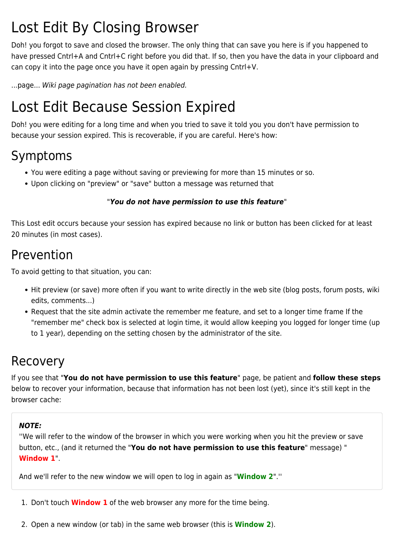## Lost Edit By Closing Browser

Doh! you forgot to save and closed the browser. The only thing that can save you here is if you happened to have pressed Cntrl+A and Cntrl+C right before you did that. If so, then you have the data in your clipboard and can copy it into the page once you have it open again by pressing Cntrl+V.

...page... Wiki page pagination has not been enabled.

## Lost Edit Because Session Expired

Doh! you were editing for a long time and when you tried to save it told you you don't have permission to because your session expired. This is recoverable, if you are careful. Here's how:

### Symptoms

- You were editing a page without saving or previewing for more than 15 minutes or so.
- Upon clicking on "preview" or "save" button a message was returned that

#### "*You do not have permission to use this feature*"

This Lost edit occurs because your session has expired because no link or button has been clicked for at least 20 minutes (in most cases).

### Prevention

To avoid getting to that situation, you can:

- Hit preview (or save) more often if you want to write directly in the web site (blog posts, forum posts, wiki edits, comments...)
- Request that the site admin activate the remember me feature, and set to a longer time frame If the "remember me" check box is selected at login time, it would allow keeping you logged for longer time (up to 1 year), depending on the setting chosen by the administrator of the site.

### Recovery

If you see that "**You do not have permission to use this feature**" page, be patient and **follow these steps** below to recover your information, because that information has not been lost (yet), since it's still kept in the browser cache:

#### *NOTE:*

''We will refer to the window of the browser in which you were working when you hit the preview or save button, etc., (and it returned the "**You do not have permission to use this feature**" message) " **Window 1**".

And we'll refer to the new window we will open to log in again as "**Window 2**".''

- 1. Don't touch **Window 1** of the web browser any more for the time being.
- 2. Open a new window (or tab) in the same web browser (this is **Window 2**).